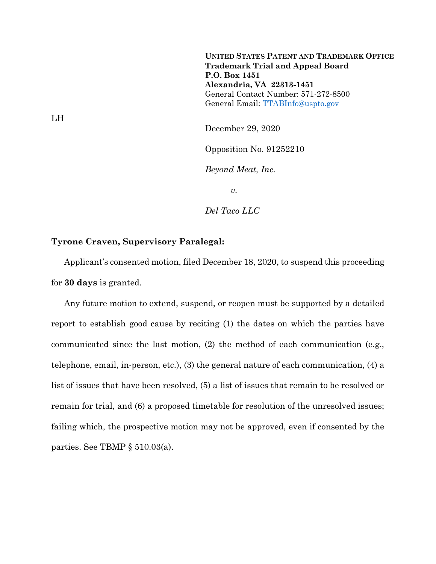**UNITED STATES PATENT AND TRADEMARK OFFICE Trademark Trial and Appeal Board P.O. Box 1451 Alexandria, VA 22313-1451** General Contact Number: 571-272-8500 General Email: [TTABInfo@uspto.gov](mailto:TTABInfo@uspto.gov)

December 29, 2020

Opposition No. 91252210

*Beyond Meat, Inc.*

*v.*

*Del Taco LLC*

## **Tyrone Craven, Supervisory Paralegal:**

Applicant's consented motion, filed December 18, 2020, to suspend this proceeding for **30 days** is granted.

Any future motion to extend, suspend, or reopen must be supported by a detailed report to establish good cause by reciting (1) the dates on which the parties have communicated since the last motion, (2) the method of each communication (e.g., telephone, email, in-person, etc.), (3) the general nature of each communication, (4) a list of issues that have been resolved, (5) a list of issues that remain to be resolved or remain for trial, and (6) a proposed timetable for resolution of the unresolved issues; failing which, the prospective motion may not be approved, even if consented by the parties. See TBMP § 510.03(a).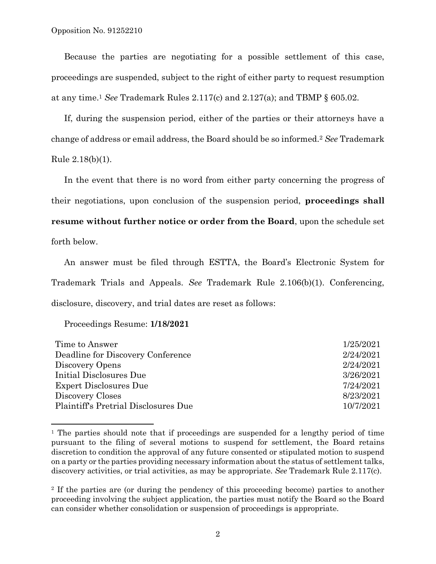Because the parties are negotiating for a possible settlement of this case, proceedings are suspended, subject to the right of either party to request resumption at any time.<sup>1</sup> *See* Trademark Rules 2.117(c) and 2.127(a); and TBMP § 605.02.

If, during the suspension period, either of the parties or their attorneys have a change of address or email address, the Board should be so informed.<sup>2</sup> *See* Trademark Rule 2.18(b)(1).

In the event that there is no word from either party concerning the progress of their negotiations, upon conclusion of the suspension period, **proceedings shall resume without further notice or order from the Board**, upon the schedule set forth below.

An answer must be filed through ESTTA, the Board's Electronic System for Trademark Trials and Appeals. *See* Trademark Rule 2.106(b)(1). Conferencing, disclosure, discovery, and trial dates are reset as follows:

Proceedings Resume: **1/18/2021**

l

| Time to Answer                       | 1/25/2021 |
|--------------------------------------|-----------|
| Deadline for Discovery Conference    | 2/24/2021 |
| Discovery Opens                      | 2/24/2021 |
| Initial Disclosures Due              | 3/26/2021 |
| Expert Disclosures Due               | 7/24/2021 |
| Discovery Closes                     | 8/23/2021 |
| Plaintiff's Pretrial Disclosures Due | 10/7/2021 |
|                                      |           |

<sup>&</sup>lt;sup>1</sup> The parties should note that if proceedings are suspended for a lengthy period of time pursuant to the filing of several motions to suspend for settlement, the Board retains discretion to condition the approval of any future consented or stipulated motion to suspend on a party or the parties providing necessary information about the status of settlement talks, discovery activities, or trial activities, as may be appropriate. *See* Trademark Rule 2.117(c).

<sup>2</sup> If the parties are (or during the pendency of this proceeding become) parties to another proceeding involving the subject application, the parties must notify the Board so the Board can consider whether consolidation or suspension of proceedings is appropriate.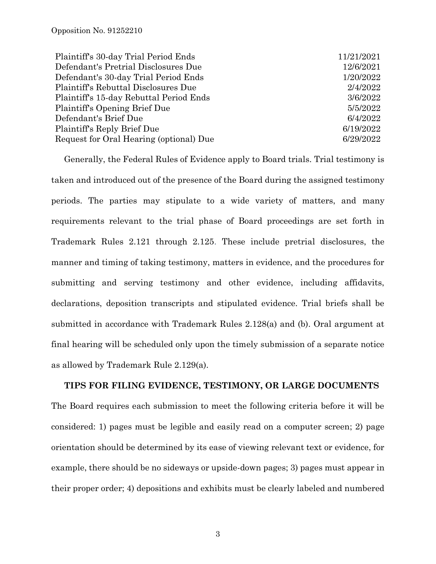| Plaintiff's 30-day Trial Period Ends    | 11/21/2021 |
|-----------------------------------------|------------|
| Defendant's Pretrial Disclosures Due    | 12/6/2021  |
| Defendant's 30-day Trial Period Ends    | 1/20/2022  |
| Plaintiff's Rebuttal Disclosures Due    | 2/4/2022   |
| Plaintiff's 15-day Rebuttal Period Ends | 3/6/2022   |
| Plaintiff's Opening Brief Due           | 5/5/2022   |
| Defendant's Brief Due                   | 6/4/2022   |
| Plaintiff's Reply Brief Due             | 6/19/2022  |
| Request for Oral Hearing (optional) Due | 6/29/2022  |

Generally, the Federal Rules of Evidence apply to Board trials. Trial testimony is taken and introduced out of the presence of the Board during the assigned testimony periods. The parties may stipulate to a wide variety of matters, and many requirements relevant to the trial phase of Board proceedings are set forth in Trademark Rules 2.121 through 2.125. These include pretrial disclosures, the manner and timing of taking testimony, matters in evidence, and the procedures for submitting and serving testimony and other evidence, including affidavits, declarations, deposition transcripts and stipulated evidence. Trial briefs shall be submitted in accordance with Trademark Rules 2.128(a) and (b). Oral argument at final hearing will be scheduled only upon the timely submission of a separate notice as allowed by Trademark Rule 2.129(a).

## **TIPS FOR FILING EVIDENCE, TESTIMONY, OR LARGE DOCUMENTS**

The Board requires each submission to meet the following criteria before it will be considered: 1) pages must be legible and easily read on a computer screen; 2) page orientation should be determined by its ease of viewing relevant text or evidence, for example, there should be no sideways or upside-down pages; 3) pages must appear in their proper order; 4) depositions and exhibits must be clearly labeled and numbered